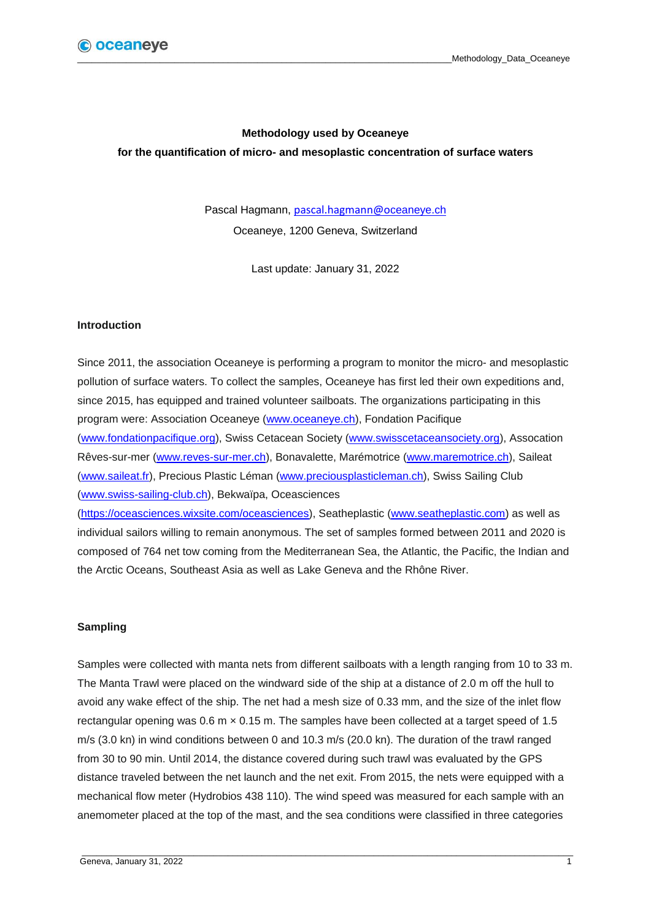## **Methodology used by Oceaneye**

**for the quantification of micro- and mesoplastic concentration of surface waters**

Pascal Hagmann, [pascal.hagmann@o](mailto:pascal.hagmann@oceaneye.ch)ceaneye.ch Oceaneye, 1200 Geneva, Switzerland

Last update: January 31, 2022

#### **Introduction**

Since 2011, the association Oceaneye is performing a program to monitor the micro- and mesoplastic pollution of surface waters. To collect the samples, Oceaneye has first led their own expeditions and, since 2015, has equipped and trained volunteer sailboats. The organizations participating in this program were: Association Oceaneye [\(www.oceaneye.ch\)](http://www.oceaneye.ch/), Fondation Pacifique [\(www.fondationpacifique.org\)](http://www.fondationpacifique.org/), Swiss Cetacean Society [\(www.swisscetaceansociety.org\)](file:///C:/Users/pasca/AppData/Local/Packages/Microsoft.Office.Desktop_8wekyb3d8bbwe/LocalCache/Roaming/Microsoft/Word/www.swisscetaceansociety.org), Assocation Rêves-sur-mer [\(www.reves-sur-mer.ch\)](file:///C:/Users/pasca/AppData/Local/Packages/Microsoft.Office.Desktop_8wekyb3d8bbwe/LocalCache/Roaming/Microsoft/Word/www.reves-sur-mer.ch), Bonavalette, Marémotrice [\(www.maremotrice.ch\)](file:///C:/Users/pasca/AppData/Local/Packages/Microsoft.Office.Desktop_8wekyb3d8bbwe/LocalCache/Roaming/Microsoft/Word/www.maremotrice.ch), Saileat [\(www.saileat.fr\)](file:///C:/Users/pasca/AppData/Local/Packages/Microsoft.Office.Desktop_8wekyb3d8bbwe/LocalCache/Roaming/Microsoft/Word/www.saileat.fr), Precious Plastic Léman [\(www.preciousplasticleman.ch\)](file:///C:/Users/pasca/AppData/Local/Packages/Microsoft.Office.Desktop_8wekyb3d8bbwe/LocalCache/Roaming/Microsoft/Word/www.preciousplasticleman.ch), Swiss Sailing Club [\(www.swiss-sailing-club.ch\)](http://www.swiss-sailing-club.ch/), Bekwaïpa, Oceasciences

[\(https://oceasciences.wixsite.com/oceasciences\)](https://oceasciences.wixsite.com/oceasciences), Seatheplastic [\(www.seatheplastic.com\)](file:///C:/Users/pasca/AppData/Local/Packages/Microsoft.Office.Desktop_8wekyb3d8bbwe/LocalCache/Roaming/Microsoft/Word/www.seatheplastic.com) as well as individual sailors willing to remain anonymous. The set of samples formed between 2011 and 2020 is composed of 764 net tow coming from the Mediterranean Sea, the Atlantic, the Pacific, the Indian and the Arctic Oceans, Southeast Asia as well as Lake Geneva and the Rhône River.

### **Sampling**

Samples were collected with manta nets from different sailboats with a length ranging from 10 to 33 m. The Manta Trawl were placed on the windward side of the ship at a distance of 2.0 m off the hull to avoid any wake effect of the ship. The net had a mesh size of 0.33 mm, and the size of the inlet flow rectangular opening was 0.6 m × 0.15 m. The samples have been collected at a target speed of 1.5 m/s (3.0 kn) in wind conditions between 0 and 10.3 m/s (20.0 kn). The duration of the trawl ranged from 30 to 90 min. Until 2014, the distance covered during such trawl was evaluated by the GPS distance traveled between the net launch and the net exit. From 2015, the nets were equipped with a mechanical flow meter (Hydrobios 438 110). The wind speed was measured for each sample with an anemometer placed at the top of the mast, and the sea conditions were classified in three categories

\_\_\_\_\_\_\_\_\_\_\_\_\_\_\_\_\_\_\_\_\_\_\_\_\_\_\_\_\_\_\_\_\_\_\_\_\_\_\_\_\_\_\_\_\_\_\_\_\_\_\_\_\_\_\_\_\_\_\_\_\_\_\_\_\_\_\_\_\_\_\_\_\_\_\_\_\_\_\_\_\_\_\_\_\_\_\_\_\_\_\_\_\_\_\_\_\_\_\_\_\_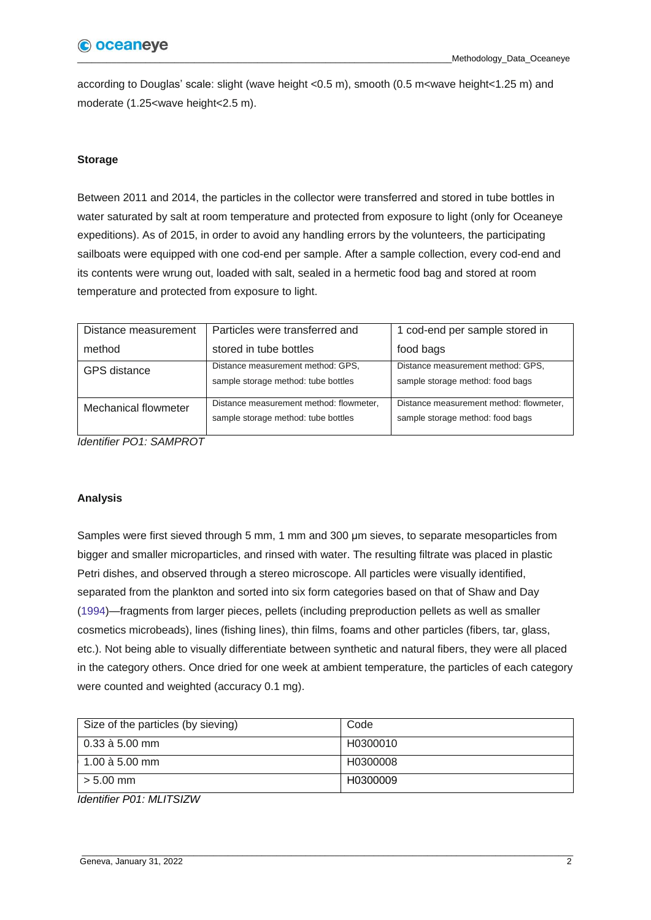according to Douglas' scale: slight (wave height <0.5 m), smooth (0.5 m<wave height<1.25 m) and moderate (1.25<wave height<2.5 m).

# **Storage**

Between 2011 and 2014, the particles in the collector were transferred and stored in tube bottles in water saturated by salt at room temperature and protected from exposure to light (only for Oceaneye expeditions). As of 2015, in order to avoid any handling errors by the volunteers, the participating sailboats were equipped with one cod-end per sample. After a sample collection, every cod-end and its contents were wrung out, loaded with salt, sealed in a hermetic food bag and stored at room temperature and protected from exposure to light.

| Distance measurement | Particles were transferred and                                                 | 1 cod-end per sample stored in                                              |
|----------------------|--------------------------------------------------------------------------------|-----------------------------------------------------------------------------|
| method               | stored in tube bottles                                                         | food bags                                                                   |
| <b>GPS</b> distance  | Distance measurement method: GPS,<br>sample storage method: tube bottles       | Distance measurement method: GPS,<br>sample storage method: food bags       |
| Mechanical flowmeter | Distance measurement method: flowmeter,<br>sample storage method: tube bottles | Distance measurement method: flowmeter,<br>sample storage method: food bags |

*Identifier PO1: SAMPROT*

## **Analysis**

Samples were first sieved through 5 mm, 1 mm and 300 μm sieves, to separate mesoparticles from bigger and smaller microparticles, and rinsed with water. The resulting filtrate was placed in plastic Petri dishes, and observed through a stereo microscope. All particles were visually identified, separated from the plankton and sorted into six form categories based on that of Shaw and Day (1994)—fragments from larger pieces, pellets (including preproduction pellets as well as smaller cosmetics microbeads), lines (fishing lines), thin films, foams and other particles (fibers, tar, glass, etc.). Not being able to visually differentiate between synthetic and natural fibers, they were all placed in the category others. Once dried for one week at ambient temperature, the particles of each category were counted and weighted (accuracy 0.1 mg).

| Size of the particles (by sieving) | Code     |
|------------------------------------|----------|
| $0.33$ à 5.00 mm                   | H0300010 |
| $1.00$ à 5.00 mm                   | H0300008 |
| $> 5.00$ mm                        | H0300009 |

*Identifier P01: MLITSIZW*